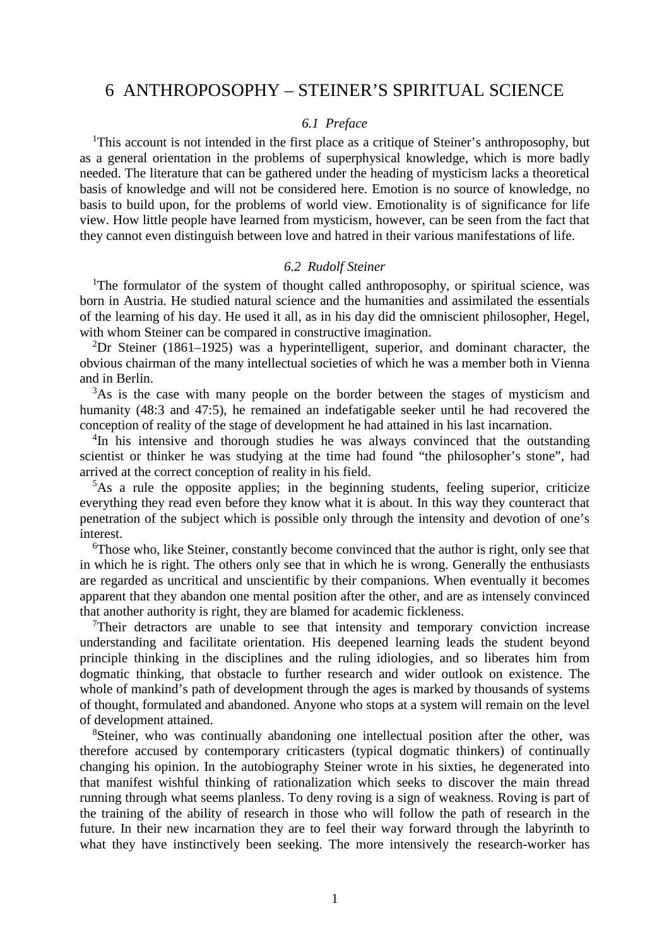# 6 ANTHROPOSOPHY – STEINER'S SPIRITUAL SCIENCE

### *6.1 Preface*

<sup>1</sup>This account is not intended in the first place as a critique of Steiner's anthroposophy, but as a general orientation in the problems of superphysical knowledge, which is more badly needed. The literature that can be gathered under the heading of mysticism lacks a theoretical basis of knowledge and will not be considered here. Emotion is no source of knowledge, no basis to build upon, for the problems of world view. Emotionality is of significance for life view. How little people have learned from mysticism, however, can be seen from the fact that they cannot even distinguish between love and hatred in their various manifestations of life.

#### *6.2 Rudolf Steiner*

<sup>1</sup>The formulator of the system of thought called anthroposophy, or spiritual science, was born in Austria. He studied natural science and the humanities and assimilated the essentials of the learning of his day. He used it all, as in his day did the omniscient philosopher, Hegel, with whom Steiner can be compared in constructive imagination.

<sup>2</sup>Dr Steiner (1861–1925) was a hyperintelligent, superior, and dominant character, the obvious chairman of the many intellectual societies of which he was a member both in Vienna and in Berlin.

<sup>3</sup>As is the case with many people on the border between the stages of mysticism and humanity (48:3 and 47:5), he remained an indefatigable seeker until he had recovered the conception of reality of the stage of development he had attained in his last incarnation.

<sup>4</sup>In his intensive and thorough studies he was always convinced that the outstanding scientist or thinker he was studying at the time had found "the philosopher's stone", had arrived at the correct conception of reality in his field.

<sup>5</sup>As a rule the opposite applies; in the beginning students, feeling superior, criticize everything they read even before they know what it is about. In this way they counteract that penetration of the subject which is possible only through the intensity and devotion of one's interest.

<sup>6</sup>Those who, like Steiner, constantly become convinced that the author is right, only see that in which he is right. The others only see that in which he is wrong. Generally the enthusiasts are regarded as uncritical and unscientific by their companions. When eventually it becomes apparent that they abandon one mental position after the other, and are as intensely convinced that another authority is right, they are blamed for academic fickleness.

 $T$ Their detractors are unable to see that intensity and temporary conviction increase understanding and facilitate orientation. His deepened learning leads the student beyond principle thinking in the disciplines and the ruling idiologies, and so liberates him from dogmatic thinking, that obstacle to further research and wider outlook on existence. The whole of mankind's path of development through the ages is marked by thousands of systems of thought, formulated and abandoned. Anyone who stops at a system will remain on the level of development attained.

<sup>8</sup>Steiner, who was continually abandoning one intellectual position after the other, was therefore accused by contemporary criticasters (typical dogmatic thinkers) of continually changing his opinion. In the autobiography Steiner wrote in his sixties, he degenerated into that manifest wishful thinking of rationalization which seeks to discover the main thread running through what seems planless. To deny roving is a sign of weakness. Roving is part of the training of the ability of research in those who will follow the path of research in the future. In their new incarnation they are to feel their way forward through the labyrinth to what they have instinctively been seeking. The more intensively the research-worker has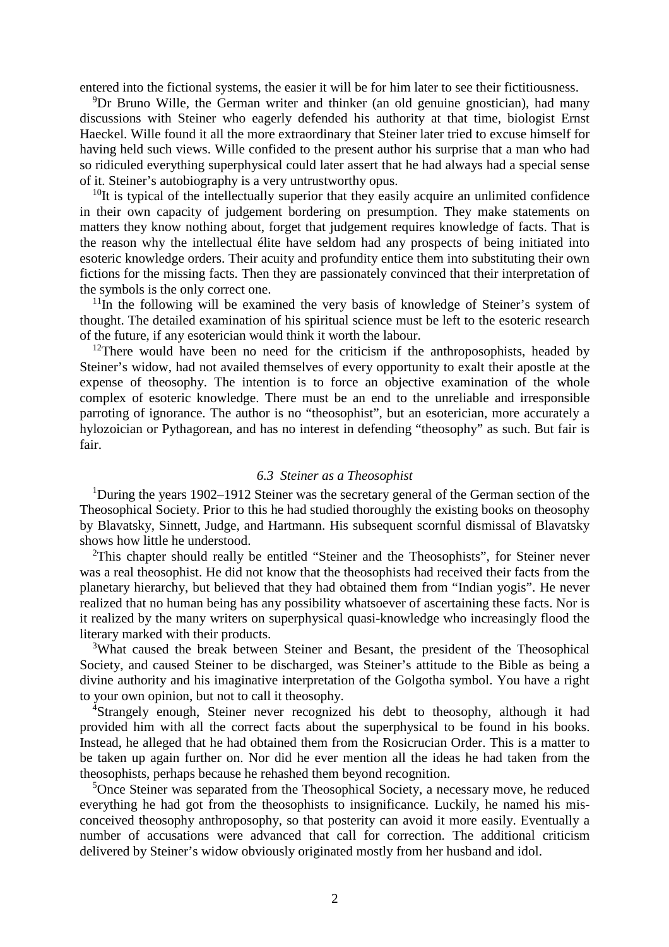entered into the fictional systems, the easier it will be for him later to see their fictitiousness.

<sup>9</sup>Dr Bruno Wille, the German writer and thinker (an old genuine gnostician), had many discussions with Steiner who eagerly defended his authority at that time, biologist Ernst Haeckel. Wille found it all the more extraordinary that Steiner later tried to excuse himself for having held such views. Wille confided to the present author his surprise that a man who had so ridiculed everything superphysical could later assert that he had always had a special sense of it. Steiner's autobiography is a very untrustworthy opus.

 $10$ It is typical of the intellectually superior that they easily acquire an unlimited confidence in their own capacity of judgement bordering on presumption. They make statements on matters they know nothing about, forget that judgement requires knowledge of facts. That is the reason why the intellectual élite have seldom had any prospects of being initiated into esoteric knowledge orders. Their acuity and profundity entice them into substituting their own fictions for the missing facts. Then they are passionately convinced that their interpretation of the symbols is the only correct one.

 $11$ In the following will be examined the very basis of knowledge of Steiner's system of thought. The detailed examination of his spiritual science must be left to the esoteric research of the future, if any esoterician would think it worth the labour.

 $12$ There would have been no need for the criticism if the anthroposophists, headed by Steiner's widow, had not availed themselves of every opportunity to exalt their apostle at the expense of theosophy. The intention is to force an objective examination of the whole complex of esoteric knowledge. There must be an end to the unreliable and irresponsible parroting of ignorance. The author is no "theosophist", but an esoterician, more accurately a hylozoician or Pythagorean, and has no interest in defending "theosophy" as such. But fair is fair.

# *6.3 Steiner as a Theosophist*

<sup>1</sup>During the years 1902–1912 Steiner was the secretary general of the German section of the Theosophical Society. Prior to this he had studied thoroughly the existing books on theosophy by Blavatsky, Sinnett, Judge, and Hartmann. His subsequent scornful dismissal of Blavatsky shows how little he understood.

<sup>2</sup>This chapter should really be entitled "Steiner and the Theosophists", for Steiner never was a real theosophist. He did not know that the theosophists had received their facts from the planetary hierarchy, but believed that they had obtained them from "Indian yogis". He never realized that no human being has any possibility whatsoever of ascertaining these facts. Nor is it realized by the many writers on superphysical quasi-knowledge who increasingly flood the literary marked with their products.

<sup>3</sup>What caused the break between Steiner and Besant, the president of the Theosophical Society, and caused Steiner to be discharged, was Steiner's attitude to the Bible as being a divine authority and his imaginative interpretation of the Golgotha symbol. You have a right to your own opinion, but not to call it theosophy.

<sup>4</sup>Strangely enough, Steiner never recognized his debt to theosophy, although it had provided him with all the correct facts about the superphysical to be found in his books. Instead, he alleged that he had obtained them from the Rosicrucian Order. This is a matter to be taken up again further on. Nor did he ever mention all the ideas he had taken from the theosophists, perhaps because he rehashed them beyond recognition.

<sup>5</sup>Once Steiner was separated from the Theosophical Society, a necessary move, he reduced everything he had got from the theosophists to insignificance. Luckily, he named his misconceived theosophy anthroposophy, so that posterity can avoid it more easily. Eventually a number of accusations were advanced that call for correction. The additional criticism delivered by Steiner's widow obviously originated mostly from her husband and idol.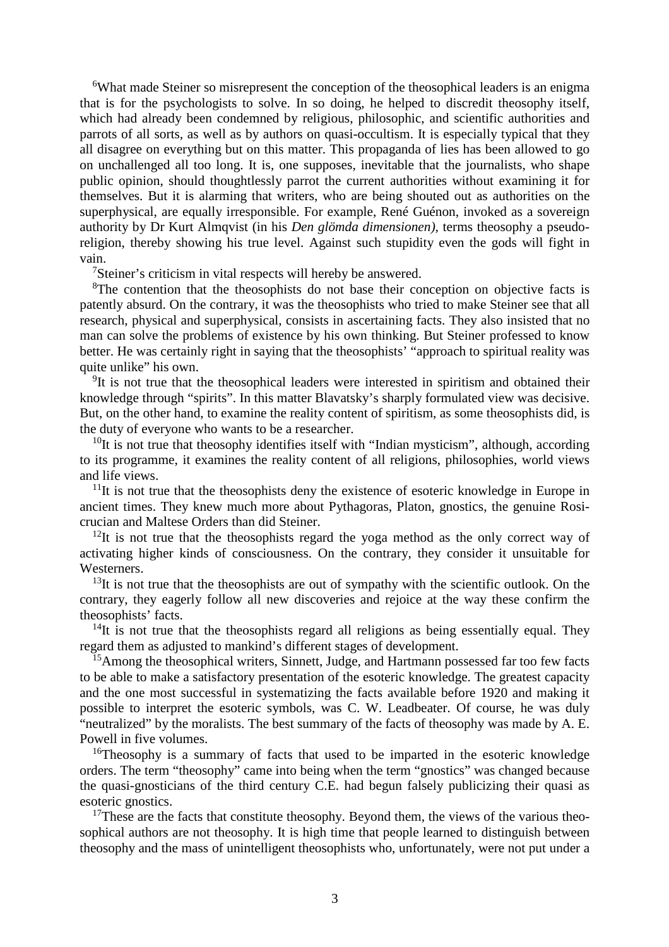<sup>6</sup>What made Steiner so misrepresent the conception of the theosophical leaders is an enigma that is for the psychologists to solve. In so doing, he helped to discredit theosophy itself, which had already been condemned by religious, philosophic, and scientific authorities and parrots of all sorts, as well as by authors on quasi-occultism. It is especially typical that they all disagree on everything but on this matter. This propaganda of lies has been allowed to go on unchallenged all too long. It is, one supposes, inevitable that the journalists, who shape public opinion, should thoughtlessly parrot the current authorities without examining it for themselves. But it is alarming that writers, who are being shouted out as authorities on the superphysical, are equally irresponsible. For example, René Guénon, invoked as a sovereign authority by Dr Kurt Almqvist (in his *Den glömda dimensionen),* terms theosophy a pseudoreligion, thereby showing his true level. Against such stupidity even the gods will fight in vain.

<sup>7</sup>Steiner's criticism in vital respects will hereby be answered.

<sup>8</sup>The contention that the theosophists do not base their conception on objective facts is patently absurd. On the contrary, it was the theosophists who tried to make Steiner see that all research, physical and superphysical, consists in ascertaining facts. They also insisted that no man can solve the problems of existence by his own thinking. But Steiner professed to know better. He was certainly right in saying that the theosophists' "approach to spiritual reality was quite unlike" his own.

<sup>9</sup>It is not true that the theosophical leaders were interested in spiritism and obtained their knowledge through "spirits". In this matter Blavatsky's sharply formulated view was decisive. But, on the other hand, to examine the reality content of spiritism, as some theosophists did, is the duty of everyone who wants to be a researcher.

 $10$ It is not true that theosophy identifies itself with "Indian mysticism", although, according to its programme, it examines the reality content of all religions, philosophies, world views and life views.

 $11$ It is not true that the theosophists deny the existence of esoteric knowledge in Europe in ancient times. They knew much more about Pythagoras, Platon, gnostics, the genuine Rosicrucian and Maltese Orders than did Steiner.

 $12$ It is not true that the theosophists regard the yoga method as the only correct way of activating higher kinds of consciousness. On the contrary, they consider it unsuitable for Westerners.

 $13$ It is not true that the theosophists are out of sympathy with the scientific outlook. On the contrary, they eagerly follow all new discoveries and rejoice at the way these confirm the theosophists' facts.

 $14$ It is not true that the theosophists regard all religions as being essentially equal. They regard them as adjusted to mankind's different stages of development.

<sup>15</sup>Among the theosophical writers, Sinnett, Judge, and Hartmann possessed far too few facts to be able to make a satisfactory presentation of the esoteric knowledge. The greatest capacity and the one most successful in systematizing the facts available before 1920 and making it possible to interpret the esoteric symbols, was C. W. Leadbeater. Of course, he was duly "neutralized" by the moralists. The best summary of the facts of theosophy was made by A. E. Powell in five volumes.

<sup>16</sup>Theosophy is a summary of facts that used to be imparted in the esoteric knowledge orders. The term "theosophy" came into being when the term "gnostics" was changed because the quasi-gnosticians of the third century C.E. had begun falsely publicizing their quasi as esoteric gnostics.

 $17$ These are the facts that constitute theosophy. Beyond them, the views of the various theosophical authors are not theosophy. It is high time that people learned to distinguish between theosophy and the mass of unintelligent theosophists who, unfortunately, were not put under a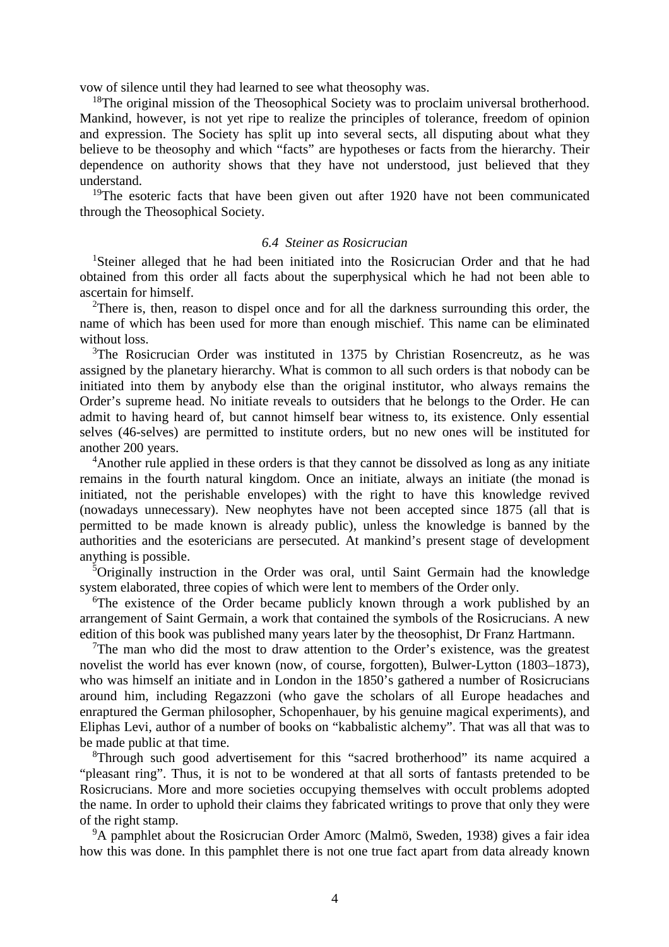vow of silence until they had learned to see what theosophy was.

<sup>18</sup>The original mission of the Theosophical Society was to proclaim universal brotherhood. Mankind, however, is not yet ripe to realize the principles of tolerance, freedom of opinion and expression. The Society has split up into several sects, all disputing about what they believe to be theosophy and which "facts" are hypotheses or facts from the hierarchy. Their dependence on authority shows that they have not understood, just believed that they understand.

<sup>19</sup>The esoteric facts that have been given out after 1920 have not been communicated through the Theosophical Society.

# *6.4 Steiner as Rosicrucian*

<sup>1</sup>Steiner alleged that he had been initiated into the Rosicrucian Order and that he had obtained from this order all facts about the superphysical which he had not been able to ascertain for himself.

<sup>2</sup>There is, then, reason to dispel once and for all the darkness surrounding this order, the name of which has been used for more than enough mischief. This name can be eliminated without loss.

<sup>3</sup>The Rosicrucian Order was instituted in 1375 by Christian Rosencreutz, as he was assigned by the planetary hierarchy. What is common to all such orders is that nobody can be initiated into them by anybody else than the original institutor, who always remains the Order's supreme head. No initiate reveals to outsiders that he belongs to the Order. He can admit to having heard of, but cannot himself bear witness to, its existence. Only essential selves (46-selves) are permitted to institute orders, but no new ones will be instituted for another 200 years.

<sup>4</sup>Another rule applied in these orders is that they cannot be dissolved as long as any initiate remains in the fourth natural kingdom. Once an initiate, always an initiate (the monad is initiated, not the perishable envelopes) with the right to have this knowledge revived (nowadays unnecessary). New neophytes have not been accepted since 1875 (all that is permitted to be made known is already public), unless the knowledge is banned by the authorities and the esotericians are persecuted. At mankind's present stage of development anything is possible.

<sup>5</sup>Originally instruction in the Order was oral, until Saint Germain had the knowledge system elaborated, three copies of which were lent to members of the Order only.

<sup>6</sup>The existence of the Order became publicly known through a work published by an arrangement of Saint Germain, a work that contained the symbols of the Rosicrucians. A new edition of this book was published many years later by the theosophist, Dr Franz Hartmann.

 $7$ The man who did the most to draw attention to the Order's existence, was the greatest novelist the world has ever known (now, of course, forgotten), Bulwer-Lytton (1803–1873), who was himself an initiate and in London in the 1850's gathered a number of Rosicrucians around him, including Regazzoni (who gave the scholars of all Europe headaches and enraptured the German philosopher, Schopenhauer, by his genuine magical experiments), and Eliphas Levi, author of a number of books on "kabbalistic alchemy". That was all that was to be made public at that time.

<sup>8</sup>Through such good advertisement for this "sacred brotherhood" its name acquired a "pleasant ring". Thus, it is not to be wondered at that all sorts of fantasts pretended to be Rosicrucians. More and more societies occupying themselves with occult problems adopted the name. In order to uphold their claims they fabricated writings to prove that only they were of the right stamp.

<sup>9</sup>A pamphlet about the Rosicrucian Order Amorc (Malmö, Sweden, 1938) gives a fair idea how this was done. In this pamphlet there is not one true fact apart from data already known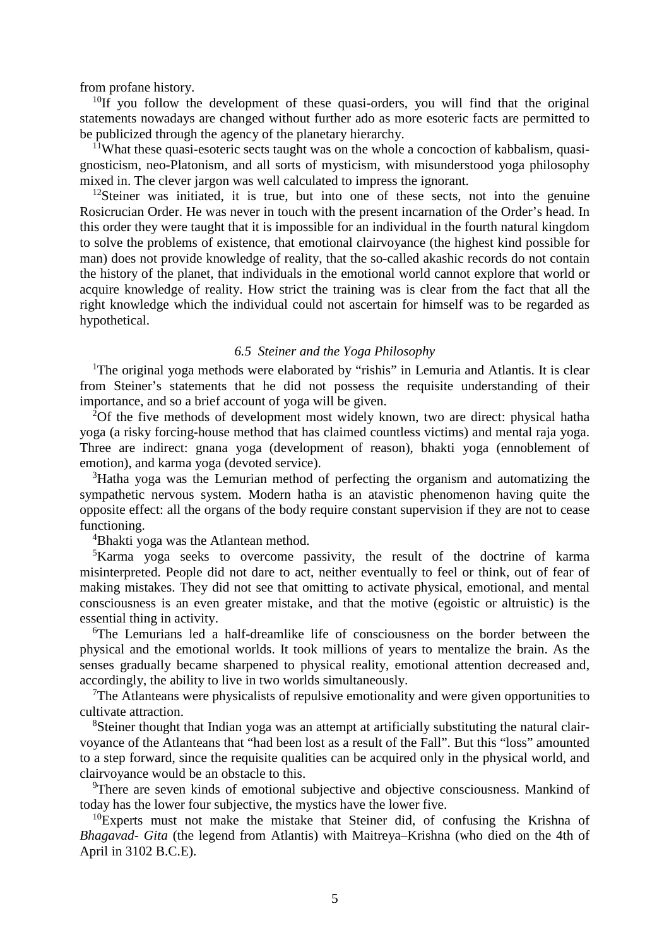from profane history.

 $10$ If you follow the development of these quasi-orders, you will find that the original statements nowadays are changed without further ado as more esoteric facts are permitted to be publicized through the agency of the planetary hierarchy.

 $11$ What these quasi-esoteric sects taught was on the whole a concoction of kabbalism, quasignosticism, neo-Platonism, and all sorts of mysticism, with misunderstood yoga philosophy mixed in. The clever jargon was well calculated to impress the ignorant.

 $12$ Steiner was initiated, it is true, but into one of these sects, not into the genuine Rosicrucian Order. He was never in touch with the present incarnation of the Order's head. In this order they were taught that it is impossible for an individual in the fourth natural kingdom to solve the problems of existence, that emotional clairvoyance (the highest kind possible for man) does not provide knowledge of reality, that the so-called akashic records do not contain the history of the planet, that individuals in the emotional world cannot explore that world or acquire knowledge of reality. How strict the training was is clear from the fact that all the right knowledge which the individual could not ascertain for himself was to be regarded as hypothetical.

# *6.5 Steiner and the Yoga Philosophy*

<sup>1</sup>The original yoga methods were elaborated by "rishis" in Lemuria and Atlantis. It is clear from Steiner's statements that he did not possess the requisite understanding of their importance, and so a brief account of yoga will be given.

<sup>2</sup>Of the five methods of development most widely known, two are direct: physical hatha yoga (a risky forcing-house method that has claimed countless victims) and mental raja yoga. Three are indirect: gnana yoga (development of reason), bhakti yoga (ennoblement of emotion), and karma yoga (devoted service).

<sup>3</sup>Hatha yoga was the Lemurian method of perfecting the organism and automatizing the sympathetic nervous system. Modern hatha is an atavistic phenomenon having quite the opposite effect: all the organs of the body require constant supervision if they are not to cease functioning.

<sup>4</sup>Bhakti yoga was the Atlantean method.

<sup>5</sup>Karma yoga seeks to overcome passivity, the result of the doctrine of karma misinterpreted. People did not dare to act, neither eventually to feel or think, out of fear of making mistakes. They did not see that omitting to activate physical, emotional, and mental consciousness is an even greater mistake, and that the motive (egoistic or altruistic) is the essential thing in activity.

<sup>6</sup>The Lemurians led a half-dreamlike life of consciousness on the border between the physical and the emotional worlds. It took millions of years to mentalize the brain. As the senses gradually became sharpened to physical reality, emotional attention decreased and, accordingly, the ability to live in two worlds simultaneously.

 $T$ The Atlanteans were physicalists of repulsive emotionality and were given opportunities to cultivate attraction.

<sup>8</sup>Steiner thought that Indian yoga was an attempt at artificially substituting the natural clairvoyance of the Atlanteans that "had been lost as a result of the Fall". But this "loss" amounted to a step forward, since the requisite qualities can be acquired only in the physical world, and clairvoyance would be an obstacle to this.

<sup>9</sup>There are seven kinds of emotional subjective and objective consciousness. Mankind of today has the lower four subjective, the mystics have the lower five.

 $10E$ <sub>EXperts</sub> must not make the mistake that Steiner did, of confusing the Krishna of *Bhagavad- Gita* (the legend from Atlantis) with Maitreya–Krishna (who died on the 4th of April in 3102 B.C.E).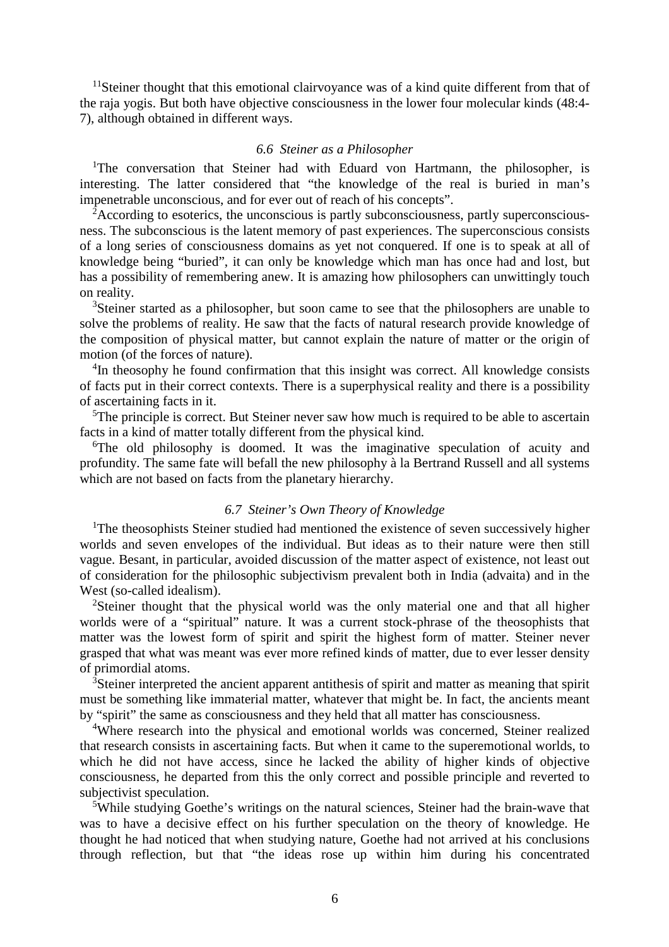<sup>11</sup>Steiner thought that this emotional clairvoyance was of a kind quite different from that of the raja yogis. But both have objective consciousness in the lower four molecular kinds (48:4- 7), although obtained in different ways.

#### *6.6 Steiner as a Philosopher*

<sup>1</sup>The conversation that Steiner had with Eduard von Hartmann, the philosopher, is interesting. The latter considered that "the knowledge of the real is buried in man's impenetrable unconscious, and for ever out of reach of his concepts".

<sup>2</sup>According to esoterics, the unconscious is partly subconsciousness, partly superconsciousness. The subconscious is the latent memory of past experiences. The superconscious consists of a long series of consciousness domains as yet not conquered. If one is to speak at all of knowledge being "buried", it can only be knowledge which man has once had and lost, but has a possibility of remembering anew. It is amazing how philosophers can unwittingly touch on reality.

<sup>3</sup>Steiner started as a philosopher, but soon came to see that the philosophers are unable to solve the problems of reality. He saw that the facts of natural research provide knowledge of the composition of physical matter, but cannot explain the nature of matter or the origin of motion (of the forces of nature).

<sup>4</sup>In theosophy he found confirmation that this insight was correct. All knowledge consists of facts put in their correct contexts. There is a superphysical reality and there is a possibility of ascertaining facts in it.

<sup>5</sup>The principle is correct. But Steiner never saw how much is required to be able to ascertain facts in a kind of matter totally different from the physical kind.

<sup>6</sup>The old philosophy is doomed. It was the imaginative speculation of acuity and profundity. The same fate will befall the new philosophy à la Bertrand Russell and all systems which are not based on facts from the planetary hierarchy.

# *6.7 Steiner's Own Theory of Knowledge*

<sup>1</sup>The theosophists Steiner studied had mentioned the existence of seven successively higher worlds and seven envelopes of the individual. But ideas as to their nature were then still vague. Besant, in particular, avoided discussion of the matter aspect of existence, not least out of consideration for the philosophic subjectivism prevalent both in India (advaita) and in the West (so-called idealism).

<sup>2</sup>Steiner thought that the physical world was the only material one and that all higher worlds were of a "spiritual" nature. It was a current stock-phrase of the theosophists that matter was the lowest form of spirit and spirit the highest form of matter. Steiner never grasped that what was meant was ever more refined kinds of matter, due to ever lesser density of primordial atoms.

<sup>3</sup>Steiner interpreted the ancient apparent antithesis of spirit and matter as meaning that spirit must be something like immaterial matter, whatever that might be. In fact, the ancients meant by "spirit" the same as consciousness and they held that all matter has consciousness.

<sup>4</sup>Where research into the physical and emotional worlds was concerned, Steiner realized that research consists in ascertaining facts. But when it came to the superemotional worlds, to which he did not have access, since he lacked the ability of higher kinds of objective consciousness, he departed from this the only correct and possible principle and reverted to subjectivist speculation.

<sup>5</sup>While studying Goethe's writings on the natural sciences, Steiner had the brain-wave that was to have a decisive effect on his further speculation on the theory of knowledge. He thought he had noticed that when studying nature, Goethe had not arrived at his conclusions through reflection, but that "the ideas rose up within him during his concentrated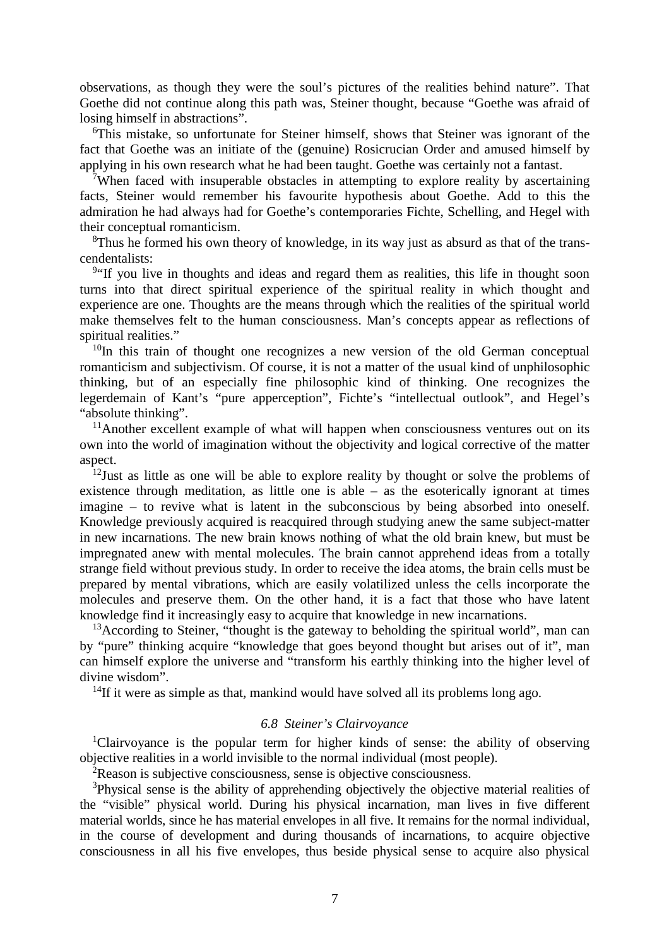observations, as though they were the soul's pictures of the realities behind nature". That Goethe did not continue along this path was, Steiner thought, because "Goethe was afraid of losing himself in abstractions".

<sup>6</sup>This mistake, so unfortunate for Steiner himself, shows that Steiner was ignorant of the fact that Goethe was an initiate of the (genuine) Rosicrucian Order and amused himself by applying in his own research what he had been taught. Goethe was certainly not a fantast.

<sup>7</sup>When faced with insuperable obstacles in attempting to explore reality by ascertaining facts, Steiner would remember his favourite hypothesis about Goethe. Add to this the admiration he had always had for Goethe's contemporaries Fichte, Schelling, and Hegel with their conceptual romanticism.

 ${}^{8}$ Thus he formed his own theory of knowledge, in its way just as absurd as that of the transcendentalists:

<sup>9</sup> If you live in thoughts and ideas and regard them as realities, this life in thought soon turns into that direct spiritual experience of the spiritual reality in which thought and experience are one. Thoughts are the means through which the realities of the spiritual world make themselves felt to the human consciousness. Man's concepts appear as reflections of spiritual realities."

 $10$ In this train of thought one recognizes a new version of the old German conceptual romanticism and subjectivism. Of course, it is not a matter of the usual kind of unphilosophic thinking, but of an especially fine philosophic kind of thinking. One recognizes the legerdemain of Kant's "pure apperception", Fichte's "intellectual outlook", and Hegel's "absolute thinking".

 $11$ Another excellent example of what will happen when consciousness ventures out on its own into the world of imagination without the objectivity and logical corrective of the matter aspect.

 $12$ Just as little as one will be able to explore reality by thought or solve the problems of existence through meditation, as little one is able – as the esoterically ignorant at times imagine – to revive what is latent in the subconscious by being absorbed into oneself. Knowledge previously acquired is reacquired through studying anew the same subject-matter in new incarnations. The new brain knows nothing of what the old brain knew, but must be impregnated anew with mental molecules. The brain cannot apprehend ideas from a totally strange field without previous study. In order to receive the idea atoms, the brain cells must be prepared by mental vibrations, which are easily volatilized unless the cells incorporate the molecules and preserve them. On the other hand, it is a fact that those who have latent knowledge find it increasingly easy to acquire that knowledge in new incarnations.

 $13$ According to Steiner, "thought is the gateway to beholding the spiritual world", man can by "pure" thinking acquire "knowledge that goes beyond thought but arises out of it", man can himself explore the universe and "transform his earthly thinking into the higher level of divine wisdom".

 $14$ If it were as simple as that, mankind would have solved all its problems long ago.

### *6.8 Steiner's Clairvoyance*

<sup>1</sup>Clairvoyance is the popular term for higher kinds of sense: the ability of observing objective realities in a world invisible to the normal individual (most people).

<sup>2</sup>Reason is subjective consciousness, sense is objective consciousness.

<sup>3</sup>Physical sense is the ability of apprehending objectively the objective material realities of the "visible" physical world. During his physical incarnation, man lives in five different material worlds, since he has material envelopes in all five. It remains for the normal individual, in the course of development and during thousands of incarnations, to acquire objective consciousness in all his five envelopes, thus beside physical sense to acquire also physical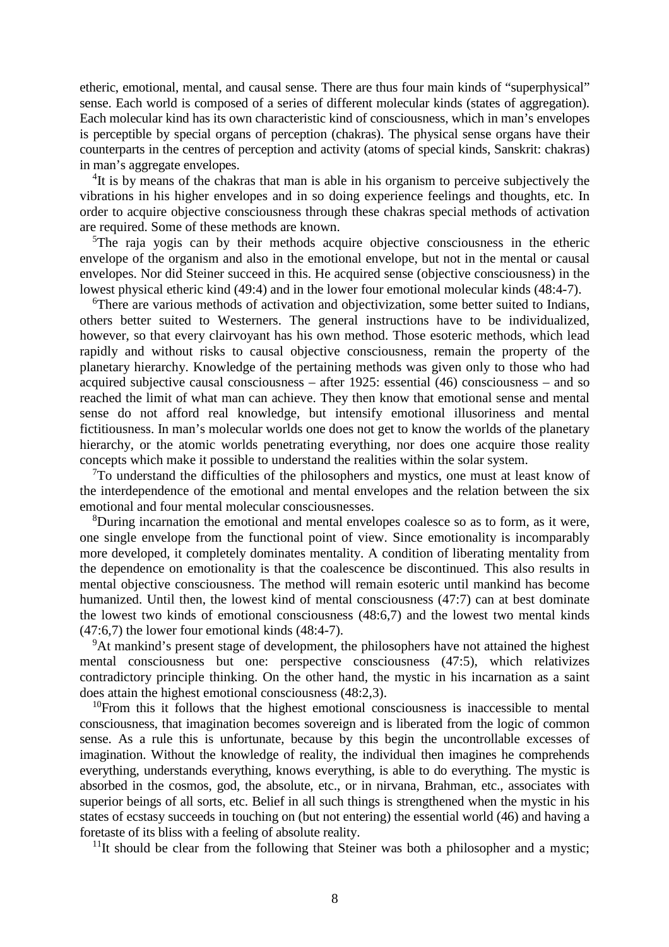etheric, emotional, mental, and causal sense. There are thus four main kinds of "superphysical" sense. Each world is composed of a series of different molecular kinds (states of aggregation). Each molecular kind has its own characteristic kind of consciousness, which in man's envelopes is perceptible by special organs of perception (chakras). The physical sense organs have their counterparts in the centres of perception and activity (atoms of special kinds, Sanskrit: chakras) in man's aggregate envelopes.

<sup>4</sup>It is by means of the chakras that man is able in his organism to perceive subjectively the vibrations in his higher envelopes and in so doing experience feelings and thoughts, etc. In order to acquire objective consciousness through these chakras special methods of activation are required. Some of these methods are known.

<sup>5</sup>The raja yogis can by their methods acquire objective consciousness in the etheric envelope of the organism and also in the emotional envelope, but not in the mental or causal envelopes. Nor did Steiner succeed in this. He acquired sense (objective consciousness) in the lowest physical etheric kind (49:4) and in the lower four emotional molecular kinds (48:4-7).

<sup>6</sup>There are various methods of activation and objectivization, some better suited to Indians, others better suited to Westerners. The general instructions have to be individualized, however, so that every clairvoyant has his own method. Those esoteric methods, which lead rapidly and without risks to causal objective consciousness, remain the property of the planetary hierarchy. Knowledge of the pertaining methods was given only to those who had acquired subjective causal consciousness – after 1925: essential (46) consciousness – and so reached the limit of what man can achieve. They then know that emotional sense and mental sense do not afford real knowledge, but intensify emotional illusoriness and mental fictitiousness. In man's molecular worlds one does not get to know the worlds of the planetary hierarchy, or the atomic worlds penetrating everything, nor does one acquire those reality concepts which make it possible to understand the realities within the solar system.

 $7$ To understand the difficulties of the philosophers and mystics, one must at least know of the interdependence of the emotional and mental envelopes and the relation between the six emotional and four mental molecular consciousnesses.

<sup>8</sup>During incarnation the emotional and mental envelopes coalesce so as to form, as it were, one single envelope from the functional point of view. Since emotionality is incomparably more developed, it completely dominates mentality. A condition of liberating mentality from the dependence on emotionality is that the coalescence be discontinued. This also results in mental objective consciousness. The method will remain esoteric until mankind has become humanized. Until then, the lowest kind of mental consciousness (47:7) can at best dominate the lowest two kinds of emotional consciousness (48:6,7) and the lowest two mental kinds (47:6,7) the lower four emotional kinds (48:4-7).

<sup>9</sup>At mankind's present stage of development, the philosophers have not attained the highest mental consciousness but one: perspective consciousness (47:5), which relativizes contradictory principle thinking. On the other hand, the mystic in his incarnation as a saint does attain the highest emotional consciousness (48:2,3).

 $10$ From this it follows that the highest emotional consciousness is inaccessible to mental consciousness, that imagination becomes sovereign and is liberated from the logic of common sense. As a rule this is unfortunate, because by this begin the uncontrollable excesses of imagination. Without the knowledge of reality, the individual then imagines he comprehends everything, understands everything, knows everything, is able to do everything. The mystic is absorbed in the cosmos, god, the absolute, etc., or in nirvana, Brahman, etc., associates with superior beings of all sorts, etc. Belief in all such things is strengthened when the mystic in his states of ecstasy succeeds in touching on (but not entering) the essential world (46) and having a foretaste of its bliss with a feeling of absolute reality.

 $11$ It should be clear from the following that Steiner was both a philosopher and a mystic;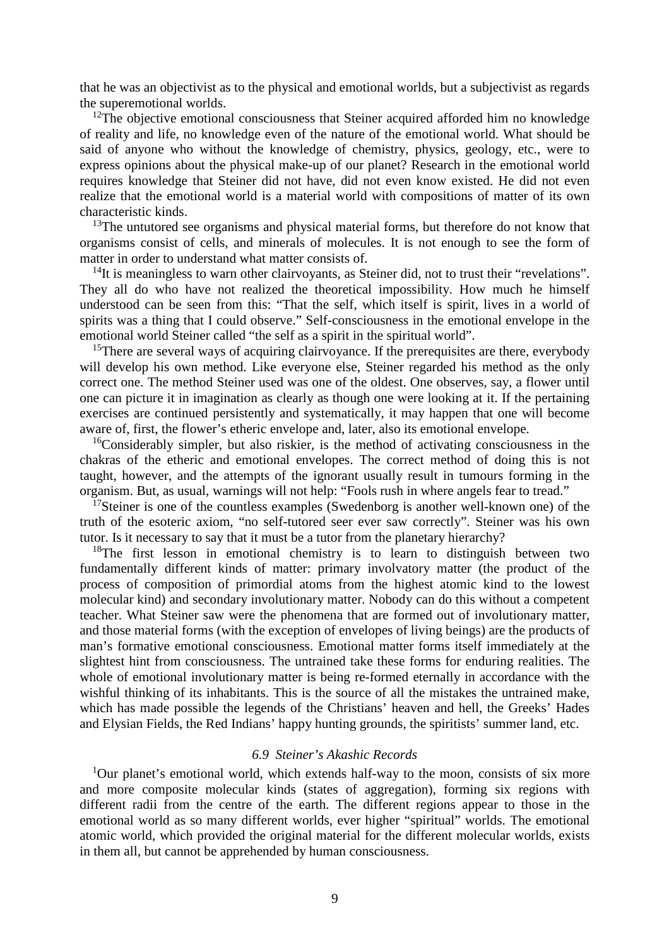that he was an objectivist as to the physical and emotional worlds, but a subjectivist as regards the superemotional worlds.

 $12$ The objective emotional consciousness that Steiner acquired afforded him no knowledge of reality and life, no knowledge even of the nature of the emotional world. What should be said of anyone who without the knowledge of chemistry, physics, geology, etc., were to express opinions about the physical make-up of our planet? Research in the emotional world requires knowledge that Steiner did not have, did not even know existed. He did not even realize that the emotional world is a material world with compositions of matter of its own characteristic kinds.

<sup>13</sup>The untutored see organisms and physical material forms, but therefore do not know that organisms consist of cells, and minerals of molecules. It is not enough to see the form of matter in order to understand what matter consists of.

 $14$ It is meaningless to warn other clairvoyants, as Steiner did, not to trust their "revelations". They all do who have not realized the theoretical impossibility. How much he himself understood can be seen from this: "That the self, which itself is spirit, lives in a world of spirits was a thing that I could observe." Self-consciousness in the emotional envelope in the emotional world Steiner called "the self as a spirit in the spiritual world".

<sup>15</sup>There are several ways of acquiring clairvoyance. If the prerequisites are there, everybody will develop his own method. Like everyone else, Steiner regarded his method as the only correct one. The method Steiner used was one of the oldest. One observes, say, a flower until one can picture it in imagination as clearly as though one were looking at it. If the pertaining exercises are continued persistently and systematically, it may happen that one will become aware of, first, the flower's etheric envelope and, later, also its emotional envelope.

 $16$ Considerably simpler, but also riskier, is the method of activating consciousness in the chakras of the etheric and emotional envelopes. The correct method of doing this is not taught, however, and the attempts of the ignorant usually result in tumours forming in the organism. But, as usual, warnings will not help: "Fools rush in where angels fear to tread."

 $17$ Steiner is one of the countless examples (Swedenborg is another well-known one) of the truth of the esoteric axiom, "no self-tutored seer ever saw correctly". Steiner was his own tutor. Is it necessary to say that it must be a tutor from the planetary hierarchy?

<sup>18</sup>The first lesson in emotional chemistry is to learn to distinguish between two fundamentally different kinds of matter: primary involvatory matter (the product of the process of composition of primordial atoms from the highest atomic kind to the lowest molecular kind) and secondary involutionary matter. Nobody can do this without a competent teacher. What Steiner saw were the phenomena that are formed out of involutionary matter, and those material forms (with the exception of envelopes of living beings) are the products of man's formative emotional consciousness. Emotional matter forms itself immediately at the slightest hint from consciousness. The untrained take these forms for enduring realities. The whole of emotional involutionary matter is being re-formed eternally in accordance with the wishful thinking of its inhabitants. This is the source of all the mistakes the untrained make, which has made possible the legends of the Christians' heaven and hell, the Greeks' Hades and Elysian Fields, the Red Indians' happy hunting grounds, the spiritists' summer land, etc.

### *6.9 Steiner's Akashic Records*

 $1$ Our planet's emotional world, which extends half-way to the moon, consists of six more and more composite molecular kinds (states of aggregation), forming six regions with different radii from the centre of the earth. The different regions appear to those in the emotional world as so many different worlds, ever higher "spiritual" worlds. The emotional atomic world, which provided the original material for the different molecular worlds, exists in them all, but cannot be apprehended by human consciousness.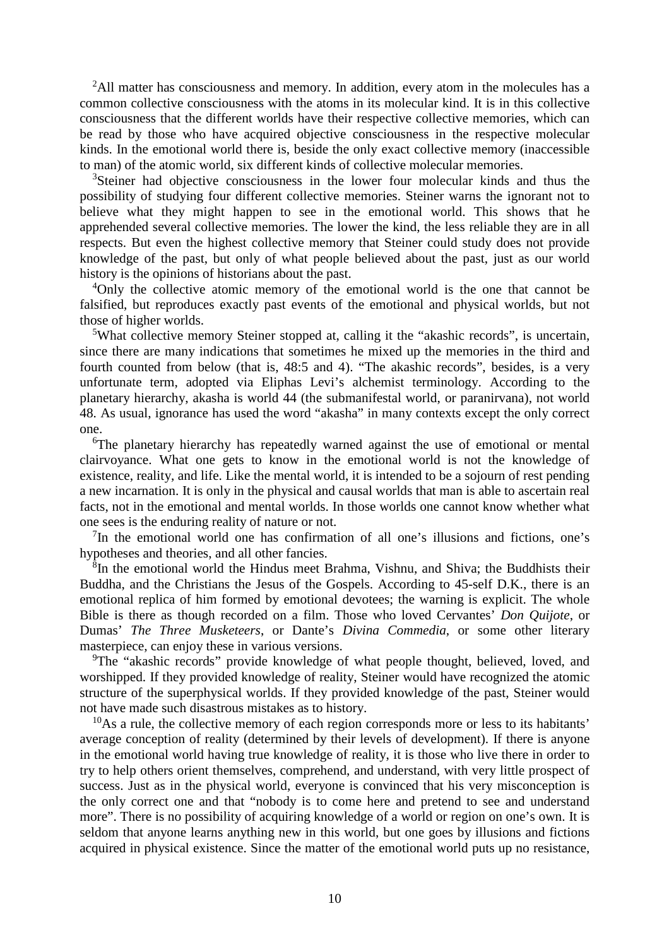<sup>2</sup>All matter has consciousness and memory. In addition, every atom in the molecules has a common collective consciousness with the atoms in its molecular kind. It is in this collective consciousness that the different worlds have their respective collective memories, which can be read by those who have acquired objective consciousness in the respective molecular kinds. In the emotional world there is, beside the only exact collective memory (inaccessible to man) of the atomic world, six different kinds of collective molecular memories.

<sup>3</sup>Steiner had objective consciousness in the lower four molecular kinds and thus the possibility of studying four different collective memories. Steiner warns the ignorant not to believe what they might happen to see in the emotional world. This shows that he apprehended several collective memories. The lower the kind, the less reliable they are in all respects. But even the highest collective memory that Steiner could study does not provide knowledge of the past, but only of what people believed about the past, just as our world history is the opinions of historians about the past.

<sup>4</sup>Only the collective atomic memory of the emotional world is the one that cannot be falsified, but reproduces exactly past events of the emotional and physical worlds, but not those of higher worlds.

<sup>5</sup>What collective memory Steiner stopped at, calling it the "akashic records", is uncertain, since there are many indications that sometimes he mixed up the memories in the third and fourth counted from below (that is, 48:5 and 4). "The akashic records", besides, is a very unfortunate term, adopted via Eliphas Levi's alchemist terminology. According to the planetary hierarchy, akasha is world 44 (the submanifestal world, or paranirvana), not world 48. As usual, ignorance has used the word "akasha" in many contexts except the only correct one.

<sup>6</sup>The planetary hierarchy has repeatedly warned against the use of emotional or mental clairvoyance. What one gets to know in the emotional world is not the knowledge of existence, reality, and life. Like the mental world, it is intended to be a sojourn of rest pending a new incarnation. It is only in the physical and causal worlds that man is able to ascertain real facts, not in the emotional and mental worlds. In those worlds one cannot know whether what one sees is the enduring reality of nature or not.

 $7$ In the emotional world one has confirmation of all one's illusions and fictions, one's hypotheses and theories, and all other fancies.

8 In the emotional world the Hindus meet Brahma, Vishnu, and Shiva; the Buddhists their Buddha, and the Christians the Jesus of the Gospels. According to 45-self D.K., there is an emotional replica of him formed by emotional devotees; the warning is explicit. The whole Bible is there as though recorded on a film. Those who loved Cervantes' *Don Quijote*, or Dumas' *The Three Musketeers*, or Dante's *Divina Commedia*, or some other literary masterpiece, can enjoy these in various versions.

<sup>9</sup>The "akashic records" provide knowledge of what people thought, believed, loved, and worshipped. If they provided knowledge of reality, Steiner would have recognized the atomic structure of the superphysical worlds. If they provided knowledge of the past, Steiner would not have made such disastrous mistakes as to history.

 $10$ As a rule, the collective memory of each region corresponds more or less to its habitants' average conception of reality (determined by their levels of development). If there is anyone in the emotional world having true knowledge of reality, it is those who live there in order to try to help others orient themselves, comprehend, and understand, with very little prospect of success. Just as in the physical world, everyone is convinced that his very misconception is the only correct one and that "nobody is to come here and pretend to see and understand more". There is no possibility of acquiring knowledge of a world or region on one's own. It is seldom that anyone learns anything new in this world, but one goes by illusions and fictions acquired in physical existence. Since the matter of the emotional world puts up no resistance,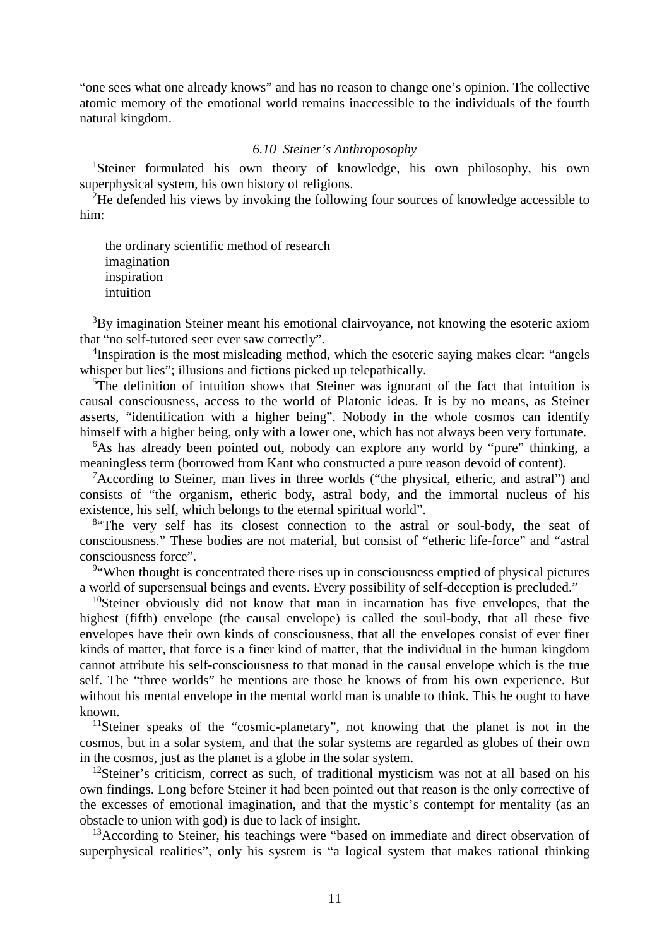"one sees what one already knows" and has no reason to change one's opinion. The collective atomic memory of the emotional world remains inaccessible to the individuals of the fourth natural kingdom.

### *6.10 Steiner's Anthroposophy*

<sup>1</sup>Steiner formulated his own theory of knowledge, his own philosophy, his own superphysical system, his own history of religions.

<sup>2</sup>He defended his views by invoking the following four sources of knowledge accessible to him:

the ordinary scientific method of research imagination inspiration intuition

<sup>3</sup>By imagination Steiner meant his emotional clairvoyance, not knowing the esoteric axiom that "no self-tutored seer ever saw correctly".

<sup>4</sup>Inspiration is the most misleading method, which the esoteric saying makes clear: "angels whisper but lies"; illusions and fictions picked up telepathically.

<sup>5</sup>The definition of intuition shows that Steiner was ignorant of the fact that intuition is causal consciousness, access to the world of Platonic ideas. It is by no means, as Steiner asserts, "identification with a higher being". Nobody in the whole cosmos can identify himself with a higher being, only with a lower one, which has not always been very fortunate.

<sup>6</sup>As has already been pointed out, nobody can explore any world by "pure" thinking, a meaningless term (borrowed from Kant who constructed a pure reason devoid of content).

<sup>7</sup>According to Steiner, man lives in three worlds ("the physical, etheric, and astral") and consists of "the organism, etheric body, astral body, and the immortal nucleus of his existence, his self, which belongs to the eternal spiritual world".

<sup>8</sup> The very self has its closest connection to the astral or soul-body, the seat of consciousness." These bodies are not material, but consist of "etheric life-force" and "astral consciousness force".

<sup>9</sup> "When thought is concentrated there rises up in consciousness emptied of physical pictures a world of supersensual beings and events. Every possibility of self-deception is precluded."

<sup>10</sup>Steiner obviously did not know that man in incarnation has five envelopes, that the highest (fifth) envelope (the causal envelope) is called the soul-body, that all these five envelopes have their own kinds of consciousness, that all the envelopes consist of ever finer kinds of matter, that force is a finer kind of matter, that the individual in the human kingdom cannot attribute his self-consciousness to that monad in the causal envelope which is the true self. The "three worlds" he mentions are those he knows of from his own experience. But without his mental envelope in the mental world man is unable to think. This he ought to have known.

<sup>11</sup>Steiner speaks of the "cosmic-planetary", not knowing that the planet is not in the cosmos, but in a solar system, and that the solar systems are regarded as globes of their own in the cosmos, just as the planet is a globe in the solar system.

 $12$ Steiner's criticism, correct as such, of traditional mysticism was not at all based on his own findings. Long before Steiner it had been pointed out that reason is the only corrective of the excesses of emotional imagination, and that the mystic's contempt for mentality (as an obstacle to union with god) is due to lack of insight.

<sup>13</sup>According to Steiner, his teachings were "based on immediate and direct observation of superphysical realities", only his system is "a logical system that makes rational thinking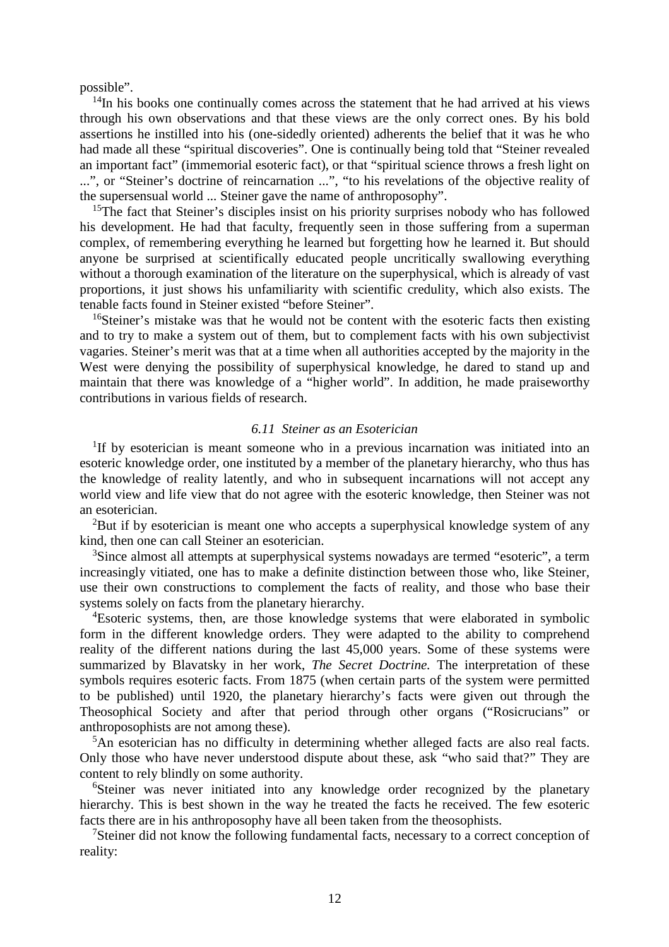possible".

 $14$ In his books one continually comes across the statement that he had arrived at his views through his own observations and that these views are the only correct ones. By his bold assertions he instilled into his (one-sidedly oriented) adherents the belief that it was he who had made all these "spiritual discoveries". One is continually being told that "Steiner revealed an important fact" (immemorial esoteric fact), or that "spiritual science throws a fresh light on ...", or "Steiner's doctrine of reincarnation ...", "to his revelations of the objective reality of the supersensual world ... Steiner gave the name of anthroposophy".

<sup>15</sup>The fact that Steiner's disciples insist on his priority surprises nobody who has followed his development. He had that faculty, frequently seen in those suffering from a superman complex, of remembering everything he learned but forgetting how he learned it. But should anyone be surprised at scientifically educated people uncritically swallowing everything without a thorough examination of the literature on the superphysical, which is already of vast proportions, it just shows his unfamiliarity with scientific credulity, which also exists. The tenable facts found in Steiner existed "before Steiner".

<sup>16</sup>Steiner's mistake was that he would not be content with the esoteric facts then existing and to try to make a system out of them, but to complement facts with his own subjectivist vagaries. Steiner's merit was that at a time when all authorities accepted by the majority in the West were denying the possibility of superphysical knowledge, he dared to stand up and maintain that there was knowledge of a "higher world". In addition, he made praiseworthy contributions in various fields of research.

# *6.11 Steiner as an Esoterician*

<sup>1</sup>If by esoterician is meant someone who in a previous incarnation was initiated into an esoteric knowledge order, one instituted by a member of the planetary hierarchy, who thus has the knowledge of reality latently, and who in subsequent incarnations will not accept any world view and life view that do not agree with the esoteric knowledge, then Steiner was not an esoterician.

<sup>2</sup>But if by esoterician is meant one who accepts a superphysical knowledge system of any kind, then one can call Steiner an esoterician.

<sup>3</sup>Since almost all attempts at superphysical systems nowadays are termed "esoteric", a term increasingly vitiated, one has to make a definite distinction between those who, like Steiner, use their own constructions to complement the facts of reality, and those who base their systems solely on facts from the planetary hierarchy.

<sup>4</sup>Esoteric systems, then, are those knowledge systems that were elaborated in symbolic form in the different knowledge orders. They were adapted to the ability to comprehend reality of the different nations during the last 45,000 years. Some of these systems were summarized by Blavatsky in her work, *The Secret Doctrine.* The interpretation of these symbols requires esoteric facts. From 1875 (when certain parts of the system were permitted to be published) until 1920, the planetary hierarchy's facts were given out through the Theosophical Society and after that period through other organs ("Rosicrucians" or anthroposophists are not among these).

<sup>5</sup>An esoterician has no difficulty in determining whether alleged facts are also real facts. Only those who have never understood dispute about these, ask "who said that?" They are content to rely blindly on some authority.

<sup>6</sup>Steiner was never initiated into any knowledge order recognized by the planetary hierarchy. This is best shown in the way he treated the facts he received. The few esoteric facts there are in his anthroposophy have all been taken from the theosophists.

<sup>7</sup>Steiner did not know the following fundamental facts, necessary to a correct conception of reality: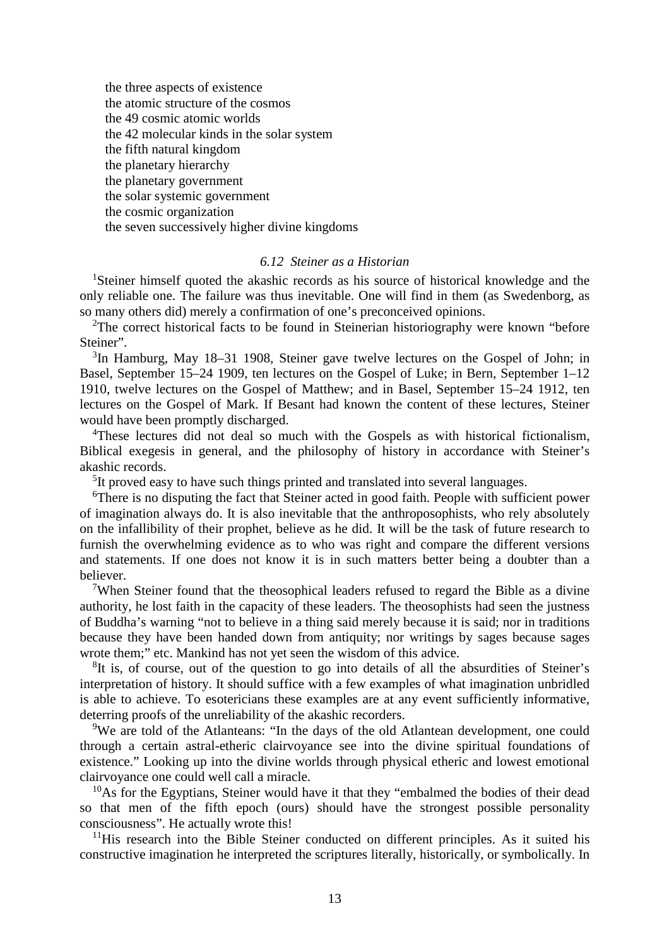the three aspects of existence the atomic structure of the cosmos the 49 cosmic atomic worlds the 42 molecular kinds in the solar system the fifth natural kingdom the planetary hierarchy the planetary government the solar systemic government the cosmic organization the seven successively higher divine kingdoms

#### *6.12 Steiner as a Historian*

<sup>1</sup>Steiner himself quoted the akashic records as his source of historical knowledge and the only reliable one. The failure was thus inevitable. One will find in them (as Swedenborg, as so many others did) merely a confirmation of one's preconceived opinions.

<sup>2</sup>The correct historical facts to be found in Steinerian historiography were known "before" Steiner".

3 In Hamburg, May 18–31 1908, Steiner gave twelve lectures on the Gospel of John; in Basel, September 15–24 1909, ten lectures on the Gospel of Luke; in Bern, September 1–12 1910, twelve lectures on the Gospel of Matthew; and in Basel, September 15–24 1912, ten lectures on the Gospel of Mark. If Besant had known the content of these lectures, Steiner would have been promptly discharged.

<sup>4</sup>These lectures did not deal so much with the Gospels as with historical fictionalism, Biblical exegesis in general, and the philosophy of history in accordance with Steiner's akashic records.

<sup>5</sup>It proved easy to have such things printed and translated into several languages.

<sup>6</sup>There is no disputing the fact that Steiner acted in good faith. People with sufficient power of imagination always do. It is also inevitable that the anthroposophists, who rely absolutely on the infallibility of their prophet, believe as he did. It will be the task of future research to furnish the overwhelming evidence as to who was right and compare the different versions and statements. If one does not know it is in such matters better being a doubter than a believer.

<sup>7</sup>When Steiner found that the theosophical leaders refused to regard the Bible as a divine authority, he lost faith in the capacity of these leaders. The theosophists had seen the justness of Buddha's warning "not to believe in a thing said merely because it is said; nor in traditions because they have been handed down from antiquity; nor writings by sages because sages wrote them;" etc. Mankind has not yet seen the wisdom of this advice.

 ${}^{8}$ It is, of course, out of the question to go into details of all the absurdities of Steiner's interpretation of history. It should suffice with a few examples of what imagination unbridled is able to achieve. To esotericians these examples are at any event sufficiently informative, deterring proofs of the unreliability of the akashic recorders.

<sup>9</sup>We are told of the Atlanteans: "In the days of the old Atlantean development, one could through a certain astral-etheric clairvoyance see into the divine spiritual foundations of existence." Looking up into the divine worlds through physical etheric and lowest emotional clairvoyance one could well call a miracle.

 $10$ As for the Egyptians, Steiner would have it that they "embalmed the bodies of their dead so that men of the fifth epoch (ours) should have the strongest possible personality consciousness". He actually wrote this!

 $11$ His research into the Bible Steiner conducted on different principles. As it suited his constructive imagination he interpreted the scriptures literally, historically, or symbolically. In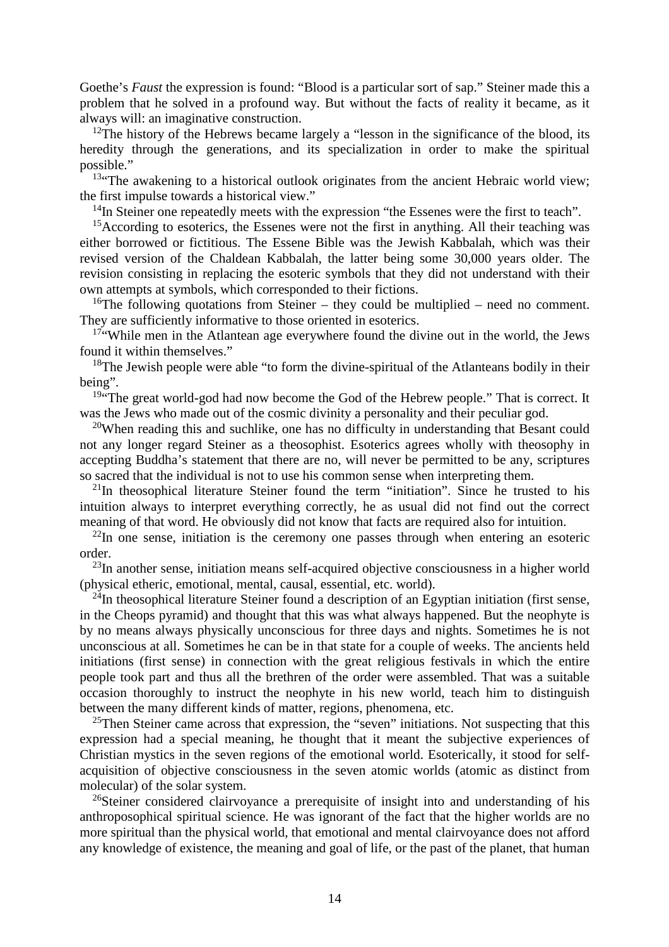Goethe's *Faust* the expression is found: "Blood is a particular sort of sap." Steiner made this a problem that he solved in a profound way. But without the facts of reality it became, as it always will: an imaginative construction.

<sup>12</sup>The history of the Hebrews became largely a "lesson in the significance of the blood, its heredity through the generations, and its specialization in order to make the spiritual possible."

 $13$ "The awakening to a historical outlook originates from the ancient Hebraic world view; the first impulse towards a historical view."

<sup>14</sup>In Steiner one repeatedly meets with the expression "the Essenes were the first to teach".

<sup>15</sup>According to esoterics, the Essenes were not the first in anything. All their teaching was either borrowed or fictitious. The Essene Bible was the Jewish Kabbalah, which was their revised version of the Chaldean Kabbalah, the latter being some 30,000 years older. The revision consisting in replacing the esoteric symbols that they did not understand with their own attempts at symbols, which corresponded to their fictions.

<sup>16</sup>The following quotations from Steiner – they could be multiplied – need no comment. They are sufficiently informative to those oriented in esoterics.

<sup>17"</sup>While men in the Atlantean age everywhere found the divine out in the world, the Jews found it within themselves."

 $18$ The Jewish people were able "to form the divine-spiritual of the Atlanteans bodily in their being".

<sup>19"</sup>The great world-god had now become the God of the Hebrew people." That is correct. It was the Jews who made out of the cosmic divinity a personality and their peculiar god.

 $20$ When reading this and suchlike, one has no difficulty in understanding that Besant could not any longer regard Steiner as a theosophist. Esoterics agrees wholly with theosophy in accepting Buddha's statement that there are no, will never be permitted to be any, scriptures so sacred that the individual is not to use his common sense when interpreting them.

 $21$ In theosophical literature Steiner found the term "initiation". Since he trusted to his intuition always to interpret everything correctly, he as usual did not find out the correct meaning of that word. He obviously did not know that facts are required also for intuition.

 $^{22}$ In one sense, initiation is the ceremony one passes through when entering an esoteric order.

<sup>23</sup>In another sense, initiation means self-acquired objective consciousness in a higher world (physical etheric, emotional, mental, causal, essential, etc. world).

 $^{24}$ In theosophical literature Steiner found a description of an Egyptian initiation (first sense, in the Cheops pyramid) and thought that this was what always happened. But the neophyte is by no means always physically unconscious for three days and nights. Sometimes he is not unconscious at all. Sometimes he can be in that state for a couple of weeks. The ancients held initiations (first sense) in connection with the great religious festivals in which the entire people took part and thus all the brethren of the order were assembled. That was a suitable occasion thoroughly to instruct the neophyte in his new world, teach him to distinguish between the many different kinds of matter, regions, phenomena, etc.

 $25$ Then Steiner came across that expression, the "seven" initiations. Not suspecting that this expression had a special meaning, he thought that it meant the subjective experiences of Christian mystics in the seven regions of the emotional world. Esoterically, it stood for selfacquisition of objective consciousness in the seven atomic worlds (atomic as distinct from molecular) of the solar system.

<sup>26</sup>Steiner considered clairvoyance a prerequisite of insight into and understanding of his anthroposophical spiritual science. He was ignorant of the fact that the higher worlds are no more spiritual than the physical world, that emotional and mental clairvoyance does not afford any knowledge of existence, the meaning and goal of life, or the past of the planet, that human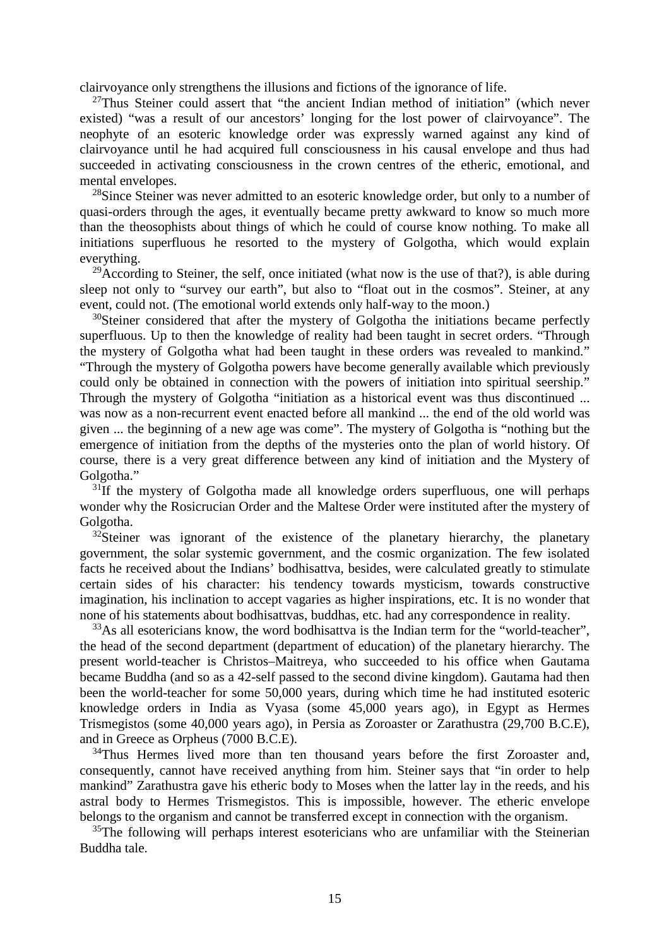clairvoyance only strengthens the illusions and fictions of the ignorance of life.

 $27$ Thus Steiner could assert that "the ancient Indian method of initiation" (which never existed) "was a result of our ancestors' longing for the lost power of clairvoyance". The neophyte of an esoteric knowledge order was expressly warned against any kind of clairvoyance until he had acquired full consciousness in his causal envelope and thus had succeeded in activating consciousness in the crown centres of the etheric, emotional, and mental envelopes.

<sup>28</sup>Since Steiner was never admitted to an esoteric knowledge order, but only to a number of quasi-orders through the ages, it eventually became pretty awkward to know so much more than the theosophists about things of which he could of course know nothing. To make all initiations superfluous he resorted to the mystery of Golgotha, which would explain everything.

<sup>29</sup>According to Steiner, the self, once initiated (what now is the use of that?), is able during sleep not only to "survey our earth", but also to "float out in the cosmos". Steiner, at any event, could not. (The emotional world extends only half-way to the moon.)

<sup>30</sup>Steiner considered that after the mystery of Golgotha the initiations became perfectly superfluous. Up to then the knowledge of reality had been taught in secret orders. "Through the mystery of Golgotha what had been taught in these orders was revealed to mankind." "Through the mystery of Golgotha powers have become generally available which previously could only be obtained in connection with the powers of initiation into spiritual seership." Through the mystery of Golgotha "initiation as a historical event was thus discontinued ... was now as a non-recurrent event enacted before all mankind ... the end of the old world was given ... the beginning of a new age was come". The mystery of Golgotha is "nothing but the emergence of initiation from the depths of the mysteries onto the plan of world history. Of course, there is a very great difference between any kind of initiation and the Mystery of Golgotha."

 $31$ If the mystery of Golgotha made all knowledge orders superfluous, one will perhaps wonder why the Rosicrucian Order and the Maltese Order were instituted after the mystery of Golgotha.

 $32$ Steiner was ignorant of the existence of the planetary hierarchy, the planetary government, the solar systemic government, and the cosmic organization. The few isolated facts he received about the Indians' bodhisattva, besides, were calculated greatly to stimulate certain sides of his character: his tendency towards mysticism, towards constructive imagination, his inclination to accept vagaries as higher inspirations, etc. It is no wonder that none of his statements about bodhisattvas, buddhas, etc. had any correspondence in reality.

<sup>33</sup>As all esotericians know, the word bodhisattva is the Indian term for the "world-teacher", the head of the second department (department of education) of the planetary hierarchy. The present world-teacher is Christos–Maitreya, who succeeded to his office when Gautama became Buddha (and so as a 42-self passed to the second divine kingdom). Gautama had then been the world-teacher for some 50,000 years, during which time he had instituted esoteric knowledge orders in India as Vyasa (some 45,000 years ago), in Egypt as Hermes Trismegistos (some 40,000 years ago), in Persia as Zoroaster or Zarathustra (29,700 B.C.E), and in Greece as Orpheus (7000 B.C.E).

 $34$ Thus Hermes lived more than ten thousand years before the first Zoroaster and, consequently, cannot have received anything from him. Steiner says that "in order to help mankind" Zarathustra gave his etheric body to Moses when the latter lay in the reeds, and his astral body to Hermes Trismegistos. This is impossible, however. The etheric envelope belongs to the organism and cannot be transferred except in connection with the organism.

 $35$ The following will perhaps interest esotericians who are unfamiliar with the Steinerian Buddha tale.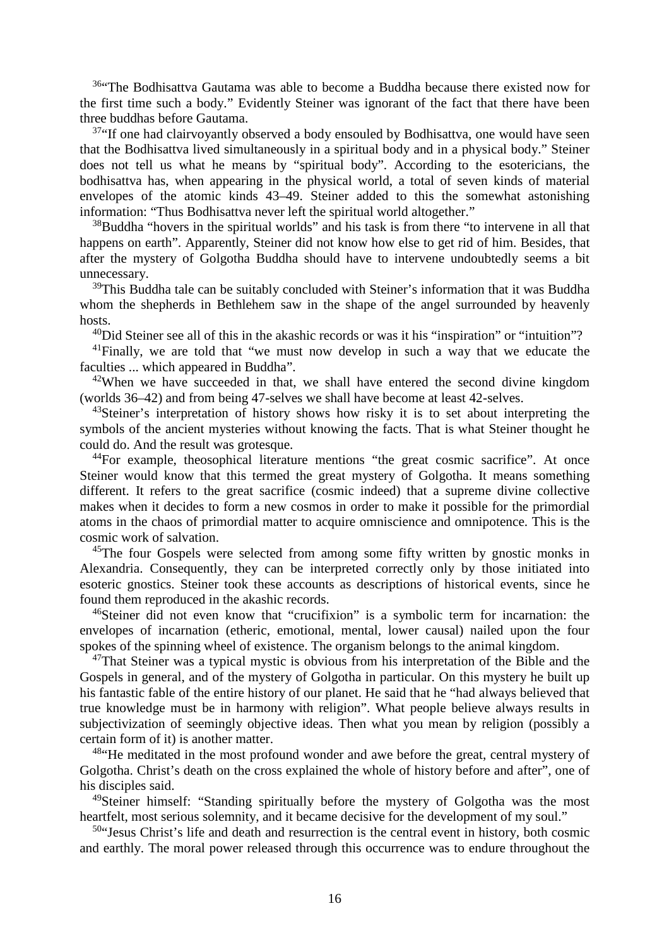<sup>36</sup>"The Bodhisattva Gautama was able to become a Buddha because there existed now for the first time such a body." Evidently Steiner was ignorant of the fact that there have been three buddhas before Gautama.

<sup>37</sup>"If one had clairvoyantly observed a body ensouled by Bodhisattva, one would have seen that the Bodhisattva lived simultaneously in a spiritual body and in a physical body." Steiner does not tell us what he means by "spiritual body". According to the esotericians, the bodhisattva has, when appearing in the physical world, a total of seven kinds of material envelopes of the atomic kinds 43–49. Steiner added to this the somewhat astonishing information: "Thus Bodhisattva never left the spiritual world altogether."

<sup>38</sup>Buddha "hovers in the spiritual worlds" and his task is from there "to intervene in all that happens on earth". Apparently, Steiner did not know how else to get rid of him. Besides, that after the mystery of Golgotha Buddha should have to intervene undoubtedly seems a bit unnecessary.

 $39$ This Buddha tale can be suitably concluded with Steiner's information that it was Buddha whom the shepherds in Bethlehem saw in the shape of the angel surrounded by heavenly hosts.

<sup>40</sup>Did Steiner see all of this in the akashic records or was it his "inspiration" or "intuition"?

<sup>41</sup>Finally, we are told that "we must now develop in such a way that we educate the faculties ... which appeared in Buddha".

<sup>42</sup>When we have succeeded in that, we shall have entered the second divine kingdom (worlds 36–42) and from being 47-selves we shall have become at least 42-selves.

<sup>43</sup>Steiner's interpretation of history shows how risky it is to set about interpreting the symbols of the ancient mysteries without knowing the facts. That is what Steiner thought he could do. And the result was grotesque.

<sup>44</sup>For example, theosophical literature mentions "the great cosmic sacrifice". At once Steiner would know that this termed the great mystery of Golgotha. It means something different. It refers to the great sacrifice (cosmic indeed) that a supreme divine collective makes when it decides to form a new cosmos in order to make it possible for the primordial atoms in the chaos of primordial matter to acquire omniscience and omnipotence. This is the cosmic work of salvation.

<sup>45</sup>The four Gospels were selected from among some fifty written by gnostic monks in Alexandria. Consequently, they can be interpreted correctly only by those initiated into esoteric gnostics. Steiner took these accounts as descriptions of historical events, since he found them reproduced in the akashic records.

<sup>46</sup>Steiner did not even know that "crucifixion" is a symbolic term for incarnation: the envelopes of incarnation (etheric, emotional, mental, lower causal) nailed upon the four spokes of the spinning wheel of existence. The organism belongs to the animal kingdom.

 $47$ That Steiner was a typical mystic is obvious from his interpretation of the Bible and the Gospels in general, and of the mystery of Golgotha in particular. On this mystery he built up his fantastic fable of the entire history of our planet. He said that he "had always believed that true knowledge must be in harmony with religion". What people believe always results in subjectivization of seemingly objective ideas. Then what you mean by religion (possibly a certain form of it) is another matter.

<sup>48"</sup>He meditated in the most profound wonder and awe before the great, central mystery of Golgotha. Christ's death on the cross explained the whole of history before and after", one of his disciples said.

<sup>49</sup>Steiner himself: "Standing spiritually before the mystery of Golgotha was the most heartfelt, most serious solemnity, and it became decisive for the development of my soul."

 $50$ "Jesus Christ's life and death and resurrection is the central event in history, both cosmic and earthly. The moral power released through this occurrence was to endure throughout the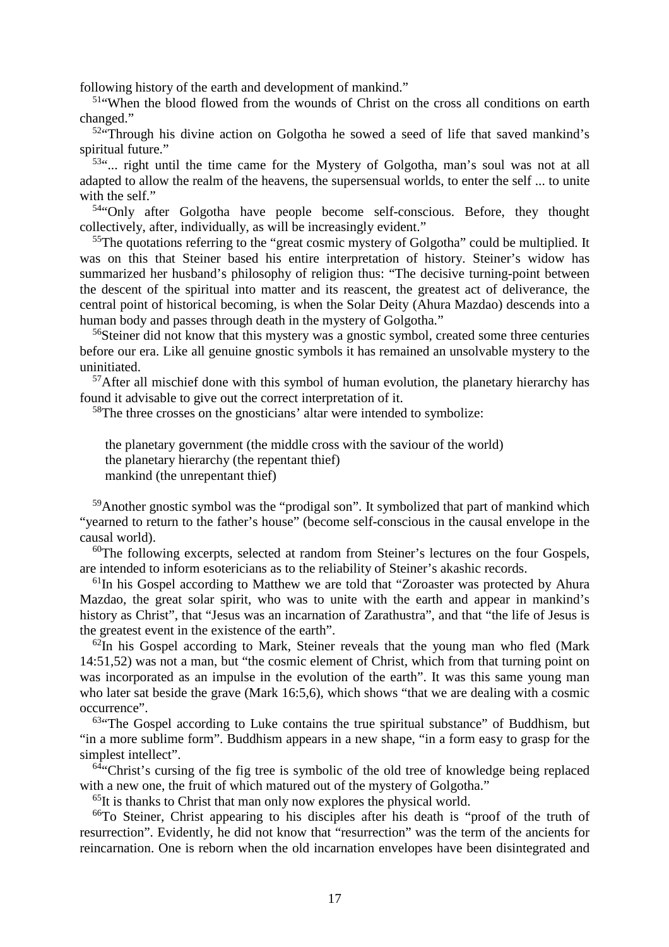following history of the earth and development of mankind."

<sup>51</sup>"When the blood flowed from the wounds of Christ on the cross all conditions on earth changed."

 $52$ <sup>4</sup>Through his divine action on Golgotha he sowed a seed of life that saved mankind's spiritual future."

<sup>53"</sup>... right until the time came for the Mystery of Golgotha, man's soul was not at all adapted to allow the realm of the heavens, the supersensual worlds, to enter the self ... to unite with the self."

<sup>54</sup>"Only after Golgotha have people become self-conscious. Before, they thought collectively, after, individually, as will be increasingly evident."

 $55$ The quotations referring to the "great cosmic mystery of Golgotha" could be multiplied. It was on this that Steiner based his entire interpretation of history. Steiner's widow has summarized her husband's philosophy of religion thus: "The decisive turning-point between the descent of the spiritual into matter and its reascent, the greatest act of deliverance, the central point of historical becoming, is when the Solar Deity (Ahura Mazdao) descends into a human body and passes through death in the mystery of Golgotha."

<sup>56</sup>Steiner did not know that this mystery was a gnostic symbol, created some three centuries before our era. Like all genuine gnostic symbols it has remained an unsolvable mystery to the uninitiated.

<sup>57</sup>After all mischief done with this symbol of human evolution, the planetary hierarchy has found it advisable to give out the correct interpretation of it.

<sup>58</sup>The three crosses on the gnosticians' altar were intended to symbolize:

the planetary government (the middle cross with the saviour of the world) the planetary hierarchy (the repentant thief) mankind (the unrepentant thief)

<sup>59</sup>Another gnostic symbol was the "prodigal son". It symbolized that part of mankind which "yearned to return to the father's house" (become self-conscious in the causal envelope in the causal world).

 $60$ The following excerpts, selected at random from Steiner's lectures on the four Gospels, are intended to inform esotericians as to the reliability of Steiner's akashic records.

<sup>61</sup>In his Gospel according to Matthew we are told that "Zoroaster was protected by Ahura" Mazdao, the great solar spirit, who was to unite with the earth and appear in mankind's history as Christ", that "Jesus was an incarnation of Zarathustra", and that "the life of Jesus is the greatest event in the existence of the earth".

 $62$ In his Gospel according to Mark, Steiner reveals that the young man who fled (Mark) 14:51,52) was not a man, but "the cosmic element of Christ, which from that turning point on was incorporated as an impulse in the evolution of the earth". It was this same young man who later sat beside the grave (Mark 16:5,6), which shows "that we are dealing with a cosmic occurrence".

 $63$ "The Gospel according to Luke contains the true spiritual substance" of Buddhism, but "in a more sublime form". Buddhism appears in a new shape, "in a form easy to grasp for the simplest intellect".

 $64$ "Christ's cursing of the fig tree is symbolic of the old tree of knowledge being replaced with a new one, the fruit of which matured out of the mystery of Golgotha."

 $<sup>65</sup>$ It is thanks to Christ that man only now explores the physical world.</sup>

<sup>66</sup>To Steiner, Christ appearing to his disciples after his death is "proof of the truth of resurrection". Evidently, he did not know that "resurrection" was the term of the ancients for reincarnation. One is reborn when the old incarnation envelopes have been disintegrated and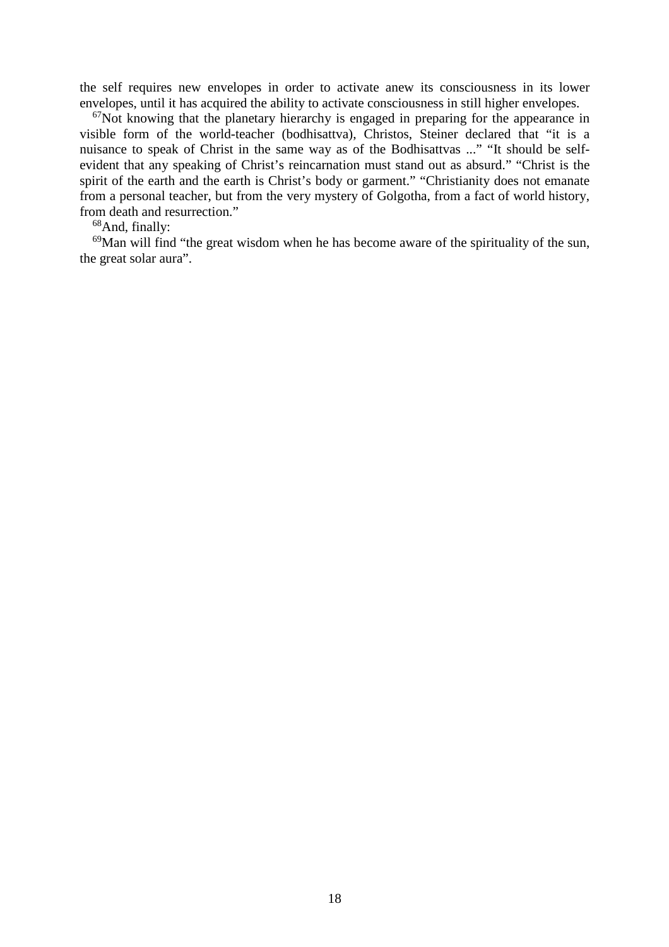the self requires new envelopes in order to activate anew its consciousness in its lower envelopes, until it has acquired the ability to activate consciousness in still higher envelopes.

 $67$ Not knowing that the planetary hierarchy is engaged in preparing for the appearance in visible form of the world-teacher (bodhisattva), Christos, Steiner declared that "it is a nuisance to speak of Christ in the same way as of the Bodhisattvas ..." "It should be selfevident that any speaking of Christ's reincarnation must stand out as absurd." "Christ is the spirit of the earth and the earth is Christ's body or garment." "Christianity does not emanate from a personal teacher, but from the very mystery of Golgotha, from a fact of world history, from death and resurrection."

<sup>68</sup>And, finally:

 $69$ Man will find "the great wisdom when he has become aware of the spirituality of the sun, the great solar aura".